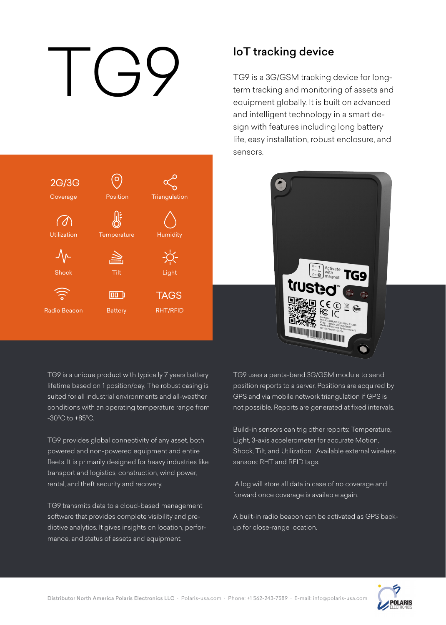# IoT tracking device<br>TG9 is a 3G/GSM tracking<br>term tracking and monitoring<br>equipment globally. It is bu



TG9 is a 3G/GSM tracking device for longterm tracking and monitoring of assets and equipment globally. It is built on advanced and intelligent technology in a smart design with features including long battery life, easy installation, robust enclosure, and sensors.



TG9 is a unique product with typically 7 years battery lifetime based on 1 position/day. The robust casing is suited for all industrial environments and all-weather conditions with an operating temperature range from -30°C to +85°C.

TG9 provides global connectivity of any asset, both powered and non-powered equipment and entire fleets. It is primarily designed for heavy industries like transport and logistics, construction, wind power, rental, and theft security and recovery.

TG9 transmits data to a cloud-based management software that provides complete visibility and predictive analytics. It gives insights on location, performance, and status of assets and equipment.

TG9 uses a penta-band 3G/GSM module to send position reports to a server. Positions are acquired by GPS and via mobile network triangulation if GPS is not possible. Reports are generated at fixed intervals.

Build-in sensors can trig other reports: Temperature, Light, 3-axis accelerometer for accurate Motion, Shock, Tilt, and Utilization. Available external wireless sensors: RHT and RFID tags.

 A log will store all data in case of no coverage and forward once coverage is available again.

A built-in radio beacon can be activated as GPS backup for close-range location.